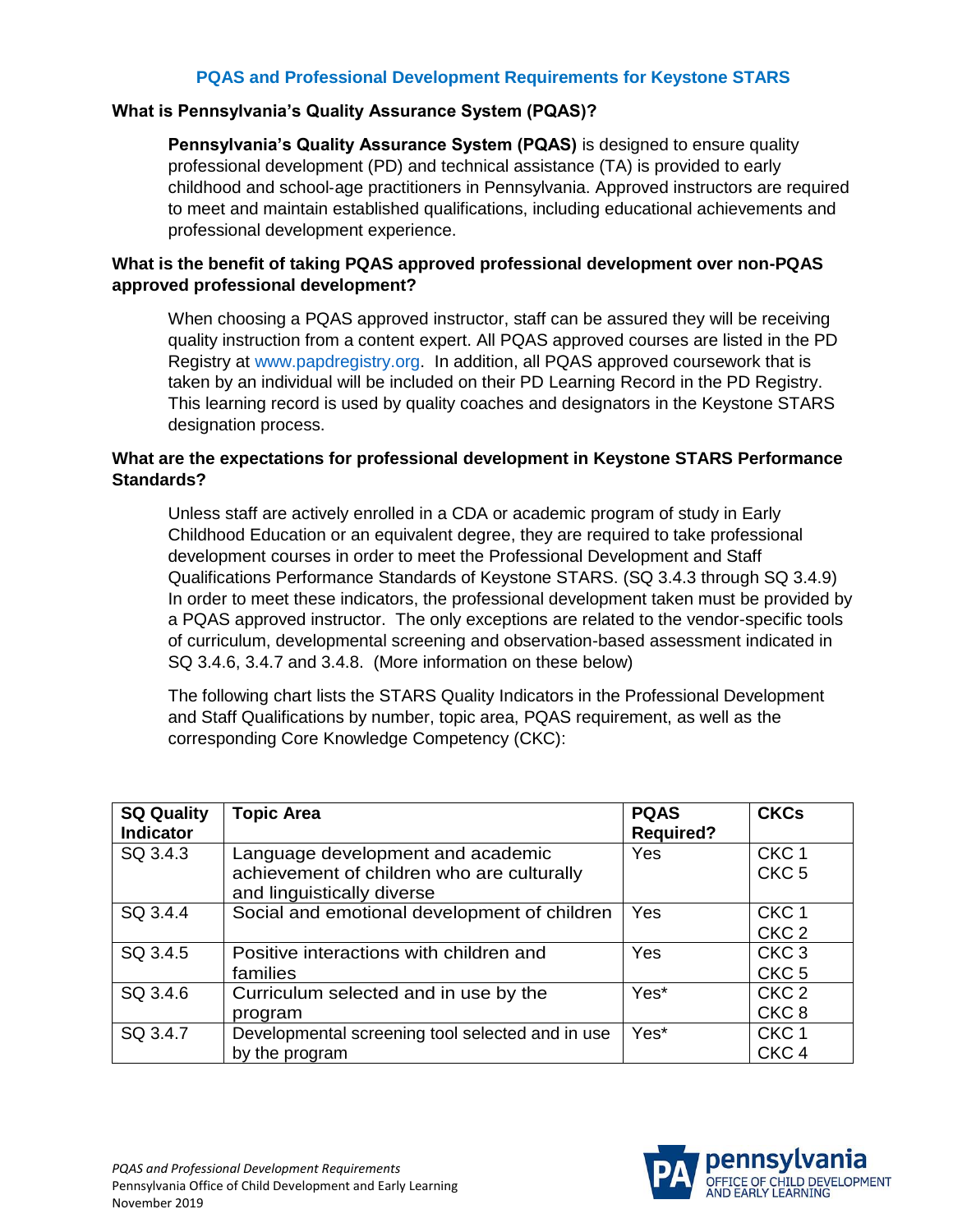## **PQAS and Professional Development Requirements for Keystone STARS**

## **What is Pennsylvania's Quality Assurance System (PQAS)?**

**Pennsylvania's Quality Assurance System (PQAS)** is designed to ensure quality professional development (PD) and technical assistance (TA) is provided to early childhood and school‐age practitioners in Pennsylvania. Approved instructors are required to meet and maintain established qualifications, including educational achievements and professional development experience.

## **What is the benefit of taking PQAS approved professional development over non-PQAS approved professional development?**

When choosing a PQAS approved instructor, staff can be assured they will be receiving quality instruction from a content expert. All PQAS approved courses are listed in the PD Registry at [www.papdregistry.org.](http://www.papdregistry.org/) In addition, all PQAS approved coursework that is taken by an individual will be included on their PD Learning Record in the PD Registry. This learning record is used by quality coaches and designators in the Keystone STARS designation process.

## **What are the expectations for professional development in Keystone STARS Performance Standards?**

Unless staff are actively enrolled in a CDA or academic program of study in Early Childhood Education or an equivalent degree, they are required to take professional development courses in order to meet the Professional Development and Staff Qualifications Performance Standards of Keystone STARS. (SQ 3.4.3 through SQ 3.4.9) In order to meet these indicators, the professional development taken must be provided by a PQAS approved instructor. The only exceptions are related to the vendor-specific tools of curriculum, developmental screening and observation-based assessment indicated in SQ 3.4.6, 3.4.7 and 3.4.8. (More information on these below)

The following chart lists the STARS Quality Indicators in the Professional Development and Staff Qualifications by number, topic area, PQAS requirement, as well as the corresponding Core Knowledge Competency (CKC):

| <b>SQ Quality</b><br><b>Indicator</b> | <b>Topic Area</b>                                                                                             | <b>PQAS</b><br><b>Required?</b> | <b>CKCs</b>                          |
|---------------------------------------|---------------------------------------------------------------------------------------------------------------|---------------------------------|--------------------------------------|
| SQ 3.4.3                              | Language development and academic<br>achievement of children who are culturally<br>and linguistically diverse | Yes                             | CKC <sub>1</sub><br>CKC <sub>5</sub> |
| SQ 3.4.4                              | Social and emotional development of children                                                                  | Yes                             | CKC <sub>1</sub><br>CKC <sub>2</sub> |
| SQ 3.4.5                              | Positive interactions with children and<br>families                                                           | Yes                             | CKC <sub>3</sub><br>CKC <sub>5</sub> |
| SQ 3.4.6                              | Curriculum selected and in use by the<br>program                                                              | Yes*                            | CKC <sub>2</sub><br>CKC <sub>8</sub> |
| SQ 3.4.7                              | Developmental screening tool selected and in use<br>by the program                                            | Yes*                            | CKC <sub>1</sub><br>CKC <sub>4</sub> |

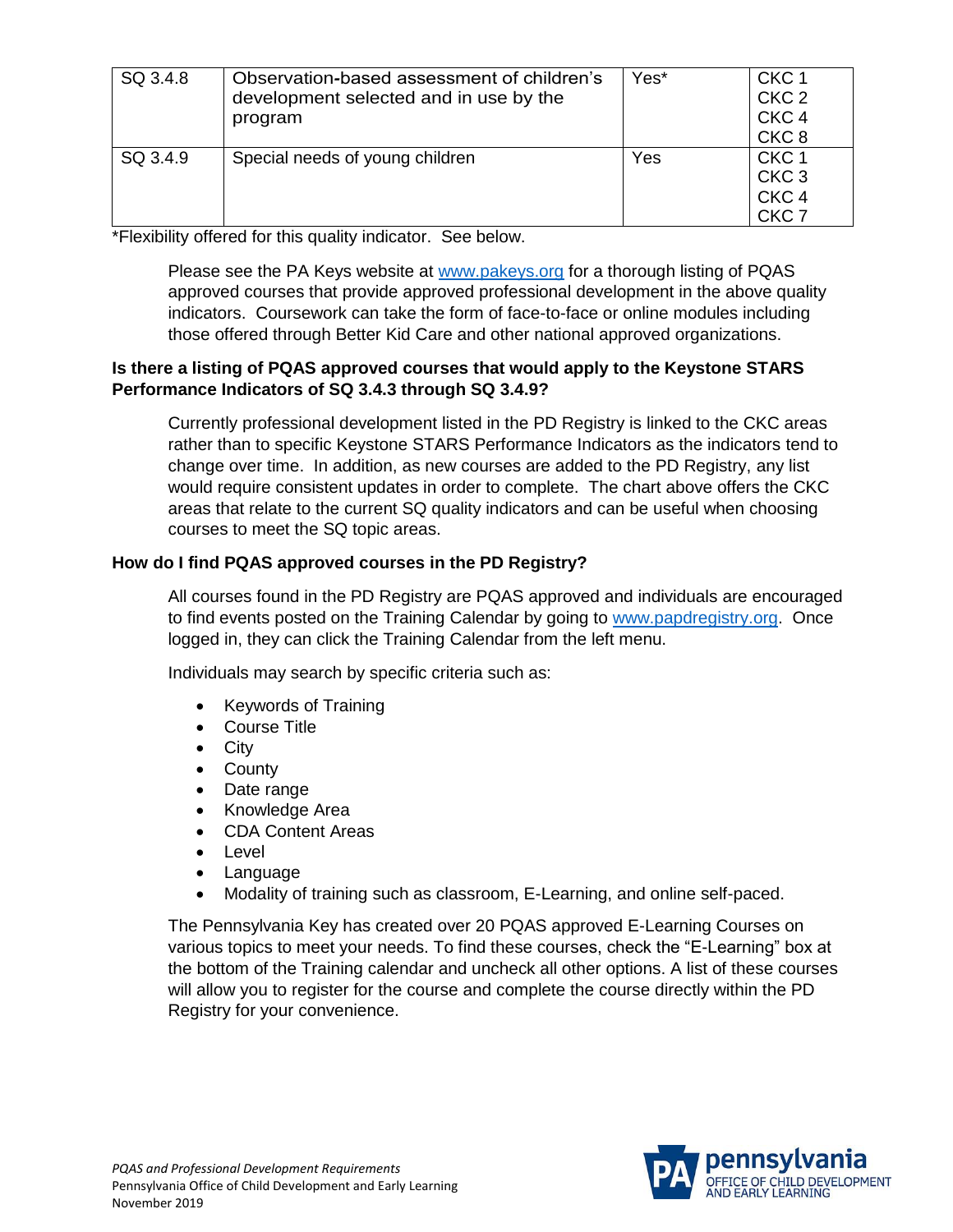| SQ 3.4.8 | Observation-based assessment of children's<br>development selected and in use by the<br>program | Yes* | CKC <sub>1</sub><br>CKC <sub>2</sub><br>CKC <sub>4</sub><br>CKC <sub>8</sub> |
|----------|-------------------------------------------------------------------------------------------------|------|------------------------------------------------------------------------------|
| SQ 3.4.9 | Special needs of young children                                                                 | Yes  | CKC <sub>1</sub><br>CKC <sub>3</sub><br>CKC <sub>4</sub><br>CKC <sub>7</sub> |

\*Flexibility offered for this quality indicator. See below.

Please see the PA Keys website at [www.pakeys.org](http://www.pakeys.org/) for a thorough listing of PQAS approved courses that provide approved professional development in the above quality indicators. Coursework can take the form of face-to-face or online modules including those offered through Better Kid Care and other national approved organizations.

## **Is there a listing of PQAS approved courses that would apply to the Keystone STARS Performance Indicators of SQ 3.4.3 through SQ 3.4.9?**

Currently professional development listed in the PD Registry is linked to the CKC areas rather than to specific Keystone STARS Performance Indicators as the indicators tend to change over time. In addition, as new courses are added to the PD Registry, any list would require consistent updates in order to complete. The chart above offers the CKC areas that relate to the current SQ quality indicators and can be useful when choosing courses to meet the SQ topic areas.

## **How do I find PQAS approved courses in the PD Registry?**

All courses found in the PD Registry are PQAS approved and individuals are encouraged to find events posted on the Training Calendar by going to [www.papdregistry.org.](http://www.papdregistry.org/) Once logged in, they can click the Training Calendar from the left menu.

Individuals may search by specific criteria such as:

- Keywords of Training
- Course Title
- City
- County
- Date range
- Knowledge Area
- CDA Content Areas
- Level
- Language
- Modality of training such as classroom, E-Learning, and online self-paced.

The Pennsylvania Key has created over 20 PQAS approved E-Learning Courses on various topics to meet your needs. To find these courses, check the "E-Learning" box at the bottom of the Training calendar and uncheck all other options. A list of these courses will allow you to register for the course and complete the course directly within the PD Registry for your convenience.

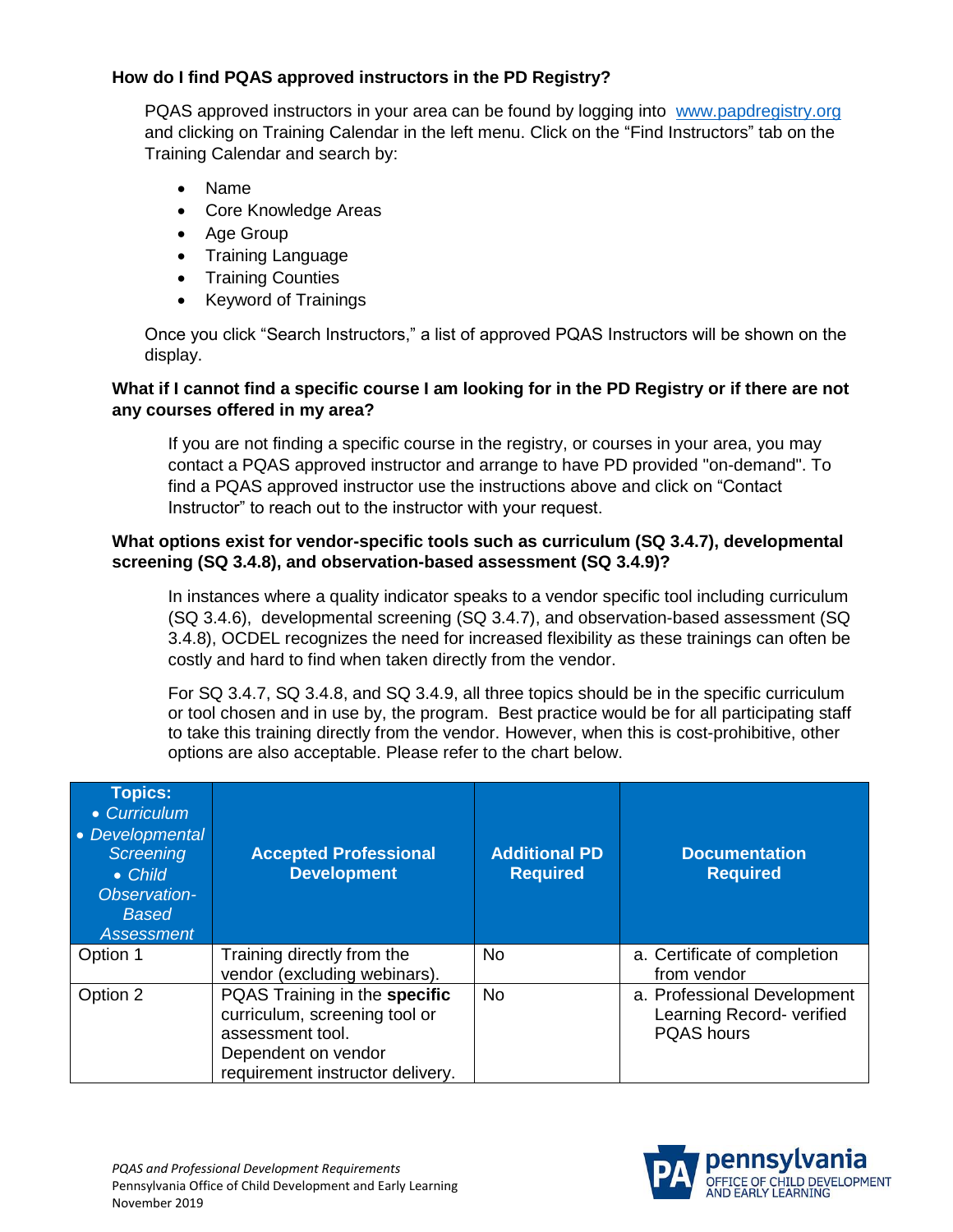# **How do I find PQAS approved instructors in the PD Registry?**

PQAS approved instructors in your area can be found by logging into [www.papdregistry.org](http://www.papdregistry.org/) and clicking on Training Calendar in the left menu. Click on the "Find Instructors" tab on the Training Calendar and search by:

- Name
- Core Knowledge Areas
- Age Group
- Training Language
- Training Counties
- Keyword of Trainings

Once you click "Search Instructors," a list of approved PQAS Instructors will be shown on the display.

# **What if I cannot find a specific course I am looking for in the PD Registry or if there are not any courses offered in my area?**

If you are not finding a specific course in the registry, or courses in your area, you may contact a PQAS approved instructor and arrange to have PD provided "on-demand". To find a PQAS approved instructor use the instructions above and click on "Contact Instructor" to reach out to the instructor with your request.

## **What options exist for vendor-specific tools such as curriculum (SQ 3.4.7), developmental screening (SQ 3.4.8), and observation-based assessment (SQ 3.4.9)?**

In instances where a quality indicator speaks to a vendor specific tool including curriculum (SQ 3.4.6), developmental screening (SQ 3.4.7), and observation-based assessment (SQ 3.4.8), OCDEL recognizes the need for increased flexibility as these trainings can often be costly and hard to find when taken directly from the vendor.

For SQ 3.4.7, SQ 3.4.8, and SQ 3.4.9, all three topics should be in the specific curriculum or tool chosen and in use by, the program. Best practice would be for all participating staff to take this training directly from the vendor. However, when this is cost-prohibitive, other options are also acceptable. Please refer to the chart below.

| <b>Topics:</b><br>• Curriculum<br>• Developmental<br><b>Screening</b><br>• Child<br>Observation-<br><b>Based</b><br><b>Assessment</b> | <b>Accepted Professional</b><br><b>Development</b>                                                                                            | <b>Additional PD</b><br><b>Required</b> | <b>Documentation</b><br><b>Required</b>                                       |
|---------------------------------------------------------------------------------------------------------------------------------------|-----------------------------------------------------------------------------------------------------------------------------------------------|-----------------------------------------|-------------------------------------------------------------------------------|
| Option 1                                                                                                                              | Training directly from the<br>vendor (excluding webinars).                                                                                    | No.                                     | a. Certificate of completion<br>from vendor                                   |
| Option 2                                                                                                                              | PQAS Training in the specific<br>curriculum, screening tool or<br>assessment tool.<br>Dependent on vendor<br>requirement instructor delivery. | <b>No</b>                               | a. Professional Development<br>Learning Record- verified<br><b>PQAS</b> hours |

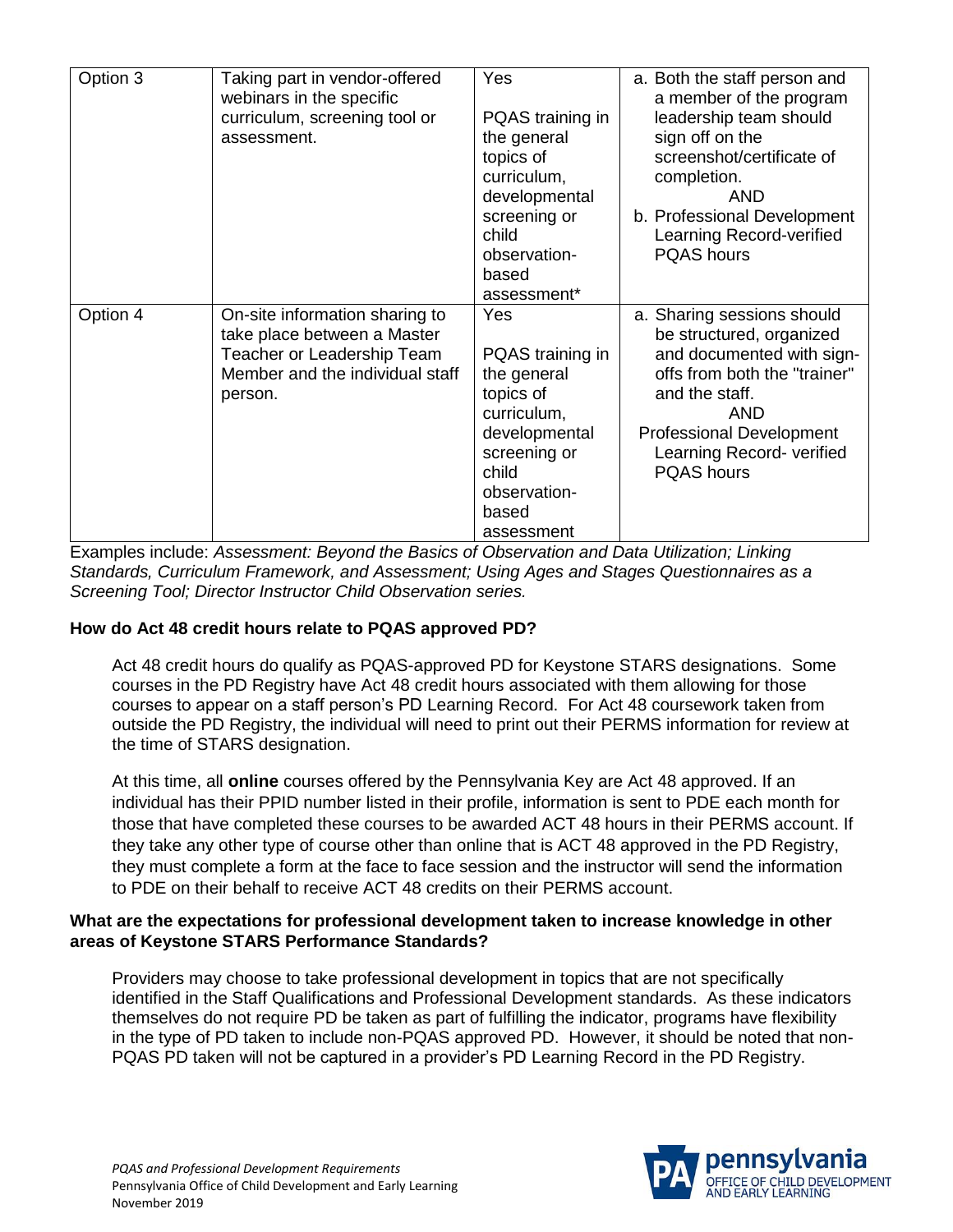| Option 3 | Taking part in vendor-offered<br>webinars in the specific<br>curriculum, screening tool or<br>assessment.                                 | Yes<br>PQAS training in<br>the general<br>topics of<br>curriculum,<br>developmental<br>screening or<br>child<br>observation-<br>based<br>assessment* | a. Both the staff person and<br>a member of the program<br>leadership team should<br>sign off on the<br>screenshot/certificate of<br>completion.<br>AND<br>b. Professional Development<br>Learning Record-verified<br><b>PQAS</b> hours |
|----------|-------------------------------------------------------------------------------------------------------------------------------------------|------------------------------------------------------------------------------------------------------------------------------------------------------|-----------------------------------------------------------------------------------------------------------------------------------------------------------------------------------------------------------------------------------------|
| Option 4 | On-site information sharing to<br>take place between a Master<br>Teacher or Leadership Team<br>Member and the individual staff<br>person. | Yes<br>PQAS training in<br>the general<br>topics of<br>curriculum,<br>developmental<br>screening or<br>child<br>observation-<br>based<br>assessment  | a. Sharing sessions should<br>be structured, organized<br>and documented with sign-<br>offs from both the "trainer"<br>and the staff.<br>AND<br><b>Professional Development</b><br>Learning Record- verified<br><b>PQAS</b> hours       |

Examples include: *Assessment: Beyond the Basics of Observation and Data Utilization; Linking Standards, Curriculum Framework, and Assessment; Using Ages and Stages Questionnaires as a Screening Tool; Director Instructor Child Observation series.* 

#### **How do Act 48 credit hours relate to PQAS approved PD?**

Act 48 credit hours do qualify as PQAS-approved PD for Keystone STARS designations. Some courses in the PD Registry have Act 48 credit hours associated with them allowing for those courses to appear on a staff person's PD Learning Record. For Act 48 coursework taken from outside the PD Registry, the individual will need to print out their PERMS information for review at the time of STARS designation.

At this time, all **online** courses offered by the Pennsylvania Key are Act 48 approved. If an individual has their PPID number listed in their profile, information is sent to PDE each month for those that have completed these courses to be awarded ACT 48 hours in their PERMS account. If they take any other type of course other than online that is ACT 48 approved in the PD Registry, they must complete a form at the face to face session and the instructor will send the information to PDE on their behalf to receive ACT 48 credits on their PERMS account.

#### **What are the expectations for professional development taken to increase knowledge in other areas of Keystone STARS Performance Standards?**

Providers may choose to take professional development in topics that are not specifically identified in the Staff Qualifications and Professional Development standards. As these indicators themselves do not require PD be taken as part of fulfilling the indicator, programs have flexibility in the type of PD taken to include non-PQAS approved PD. However, it should be noted that non-PQAS PD taken will not be captured in a provider's PD Learning Record in the PD Registry.